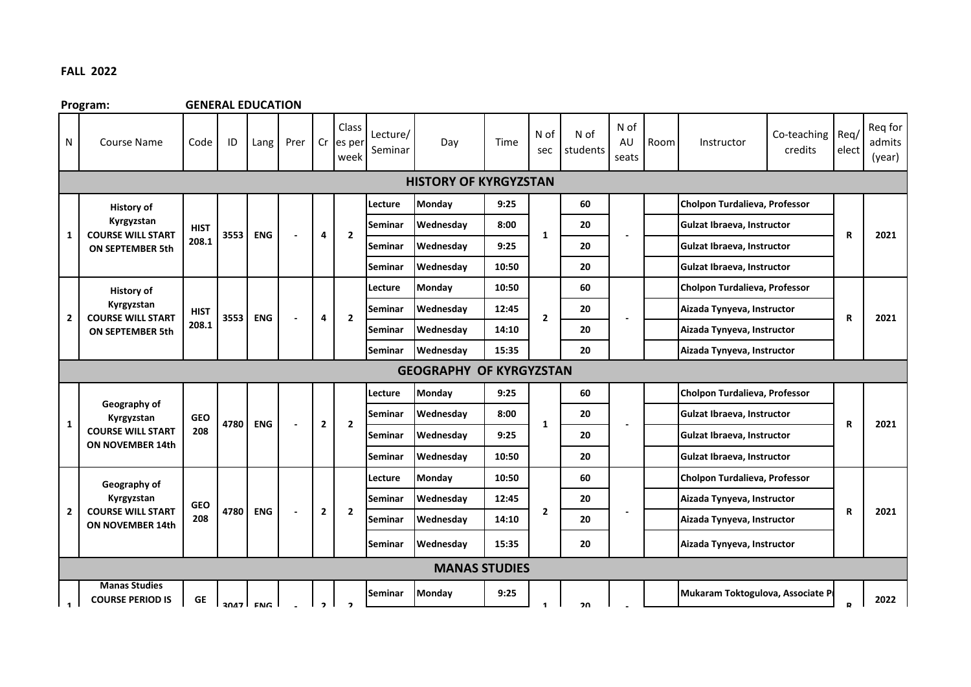## **FALL 2022**

**Program: GENERAL EDUCATION** N | Course Name | Code | ID | Lang | Prer | Class Cr es per week Lecture/ Seminar Day | Time N of sec N of students N of AU seats Room Instructor Co-teaching Req/ credits elect Req for admits (year) **Lecture Monday 9:25 60 Cholpon Turdalieva, Professor Seminar Wednesday 8:00 20 Gulzat Ibraeva, Instructor Seminar** Wednesday | 9:25 | | | 20 | | | Gulzat Ibraeva, Instructor **Seminar Wednesday 10:50 20 Gulzat Ibraeva, Instructor Lecture Monday 10:50 60 Cholpon Turdalieva, Professor Seminar Wednesday 12:45 20 Aizada Tynyeva, Instructor Seminar Wednesday 14:10 20 Aizada Tynyeva, Instructor Seminar Wednesday 15:35 20 Aizada Tynyeva, Instructor Lecture Monday 9:25 60 Cholpon Turdalieva, Professor Seminar Wednesday 8:00 20 Gulzat Ibraeva, Instructor Seminar Wednesday 9:25 20 Gulzat Ibraeva, Instructor Seminar Wednesday 10:50 20 Gulzat Ibraeva, Instructor Lecture Monday 10:50 60 Cholpon Turdalieva, Professor Seminar Wednesday 12:45 20 Aizada Tynyeva, Instructor Seminar Wednesday 14:10 2 20 12:10 Aizada Tynyeva, Instructor Seminar Wednesday 15:35 20 Aizada Tynyeva, Instructor Seminar Monday | 9:25 | | | | | | | Mukaram Toktogulova, Associate P 2 2 - R 2021 MANAS STUDIES 2 Geography of Kyrgyzstan COURSE WILL START ON NOVEMBER 14th GEO 208 4780 ENG - 2 GEOGRAPHY OF KYRGYZSTAN** 1 **|**  $\alpha$ <sup>1</sup>  $\alpha$ <sup>2</sup>  $\alpha$ <sup>2</sup>  $\alpha$ <sup>2</sup> **|**  $\alpha$ <sup>2</sup> **|**  $\alpha$ <sup>2</sup> **| 2021 | 2021 | 2021 | 2021 | 2021 | 2021 | 2021 | 2021 | 2021 | 2021 | 2021 | 2021 | 2021 | 2021 | 2 Geography of Kyrgyzstan COURSE WILL START ON NOVEMBER 14th GEO 208 4780 ENG - 2 HISTORY OF KYRGYZSTAN 1 History of Kyrgyzstan COURSE WILL START ON SEPTEMBER 5th HIST 208.1 3553 ENG - - 4 4 2 History of Kyrgyzstan COURSE WILL START 2 3553 ENG 2 ON SEPTEMBER 5th HIST 208.1 1 - 2 - R 2021 R 2021 2 1 20 - R 2022 1 Manas Studies COURSE PERIOD IS GE 3047 ENG - 2**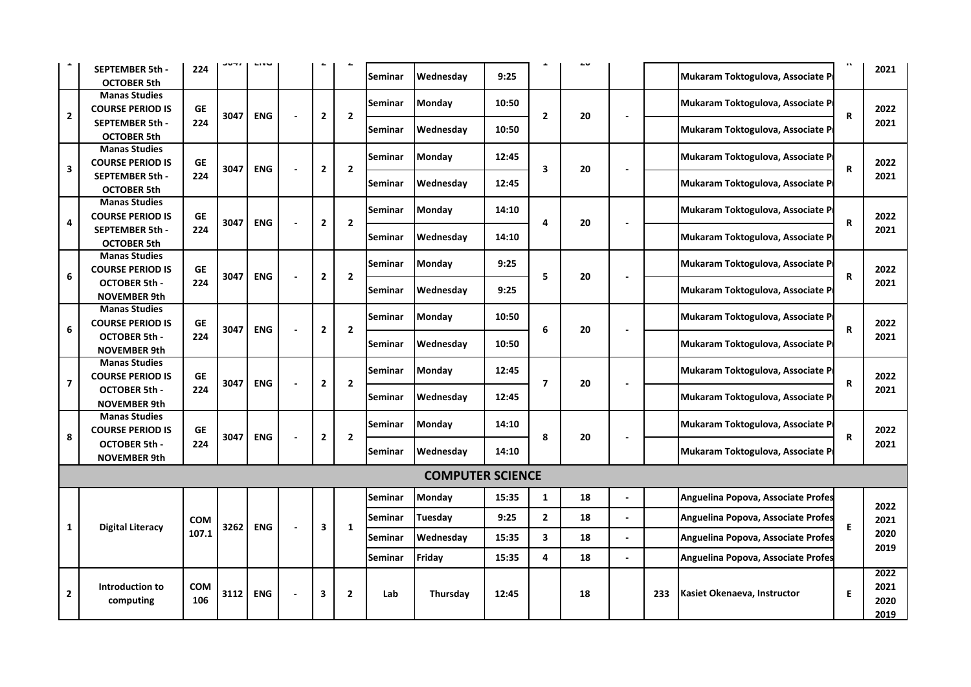|                         |                                                   |                  |      |            |                |                |                |                         |       |                         |    |                          |     |                                    | $\mathbf{u}$ |              |
|-------------------------|---------------------------------------------------|------------------|------|------------|----------------|----------------|----------------|-------------------------|-------|-------------------------|----|--------------------------|-----|------------------------------------|--------------|--------------|
|                         | <b>SEPTEMBER 5th -</b><br><b>OCTOBER 5th</b>      | 224              |      |            |                |                | <b>Seminar</b> | Wednesday               | 9:25  |                         | ΔU |                          |     | Mukaram Toktogulova, Associate P   |              | 2021         |
|                         | <b>Manas Studies</b>                              |                  |      |            |                |                |                |                         |       |                         |    |                          |     |                                    |              |              |
| $\overline{\mathbf{2}}$ | <b>COURSE PERIOD IS</b>                           | <b>GE</b>        | 3047 | <b>ENG</b> | 2              | $\mathbf{2}$   | Seminar        | Monday                  | 10:50 | $\overline{2}$          | 20 | $\overline{\phantom{0}}$ |     | Mukaram Toktogulova, Associate P   | $\mathbf R$  | 2022         |
|                         | <b>SEPTEMBER 5th -</b><br><b>OCTOBER 5th</b>      | 224              |      |            |                |                | <b>Seminar</b> | Wednesday               | 10:50 |                         |    |                          |     | Mukaram Toktogulova, Associate P   |              | 2021         |
|                         | <b>Manas Studies</b>                              |                  |      |            |                |                |                |                         |       |                         |    |                          |     |                                    |              |              |
|                         | <b>COURSE PERIOD IS</b>                           | <b>GE</b>        | 3047 | <b>ENG</b> |                | $\overline{2}$ | <b>Seminar</b> | <b>Monday</b>           | 12:45 | 3                       | 20 |                          |     | Mukaram Toktogulova, Associate P   |              | 2022         |
| 3                       | SEPTEMBER 5th -                                   | 224              |      |            | $\mathbf{2}$   |                | Seminar        | Wednesday               | 12:45 |                         |    | $\blacksquare$           |     | Mukaram Toktogulova, Associate P   | $\mathbf R$  | 2021         |
|                         | <b>OCTOBER 5th</b>                                |                  |      |            |                |                |                |                         |       |                         |    |                          |     |                                    |              |              |
|                         | <b>Manas Studies</b>                              |                  |      |            |                |                | <b>Seminar</b> | Monday                  | 14:10 |                         |    |                          |     | Mukaram Toktogulova, Associate P   |              |              |
| 4                       | <b>COURSE PERIOD IS</b><br><b>SEPTEMBER 5th -</b> | <b>GE</b><br>224 | 3047 | <b>ENG</b> | 2              | $\overline{2}$ |                |                         |       | 4                       | 20 | $\blacksquare$           |     |                                    | R            | 2022<br>2021 |
|                         | <b>OCTOBER 5th</b>                                |                  |      |            |                |                | <b>Seminar</b> | Wednesday               | 14:10 |                         |    |                          |     | Mukaram Toktogulova, Associate P   |              |              |
|                         | <b>Manas Studies</b>                              |                  |      |            |                |                |                | <b>Monday</b>           | 9:25  |                         |    |                          |     |                                    |              |              |
| 6                       | <b>COURSE PERIOD IS</b>                           | <b>GE</b>        | 3047 | <b>ENG</b> | $\mathbf{2}$   | $\mathbf{2}$   | <b>Seminar</b> |                         |       | 5                       | 20 |                          |     | Mukaram Toktogulova, Associate P   | $\mathsf{R}$ | 2022         |
|                         | <b>OCTOBER 5th-</b>                               | 224              |      |            |                |                | Seminar        | Wednesday               | 9:25  |                         |    |                          |     | Mukaram Toktogulova, Associate P   |              | 2021         |
|                         | <b>NOVEMBER 9th</b><br><b>Manas Studies</b>       |                  |      |            |                |                |                |                         |       |                         |    |                          |     |                                    |              |              |
|                         | <b>COURSE PERIOD IS</b>                           | <b>GE</b>        |      |            |                |                | Seminar        | <b>Monday</b>           | 10:50 |                         |    |                          |     | Mukaram Toktogulova, Associate P   |              | 2022         |
| 6                       | <b>OCTOBER 5th-</b>                               | 224              | 3047 | <b>ENG</b> | $\overline{2}$ | $\overline{2}$ |                |                         |       | 6                       | 20 |                          |     |                                    | $\mathbf R$  | 2021         |
|                         | <b>NOVEMBER 9th</b>                               |                  |      |            |                |                | Seminar        | Wednesday               | 10:50 |                         |    |                          |     | Mukaram Toktogulova, Associate P   |              |              |
|                         | <b>Manas Studies</b>                              |                  |      |            |                |                | Seminar        | Monday                  | 12:45 |                         |    |                          |     | Mukaram Toktogulova, Associate P   |              |              |
| 7                       | <b>COURSE PERIOD IS</b>                           | <b>GE</b>        | 3047 | <b>ENG</b> | 2              | $\overline{2}$ |                |                         |       | $\overline{ }$          | 20 |                          |     |                                    | $\mathbf R$  | 2022         |
|                         | <b>OCTOBER 5th-</b><br><b>NOVEMBER 9th</b>        | 224              |      |            |                |                | <b>Seminar</b> | Wednesday               | 12:45 |                         |    |                          |     | Mukaram Toktogulova, Associate P   |              | 2021         |
|                         | <b>Manas Studies</b>                              |                  |      |            |                |                |                |                         |       |                         |    |                          |     |                                    |              |              |
|                         | <b>COURSE PERIOD IS</b>                           | <b>GE</b>        |      |            |                |                | Seminar        | <b>Monday</b>           | 14:10 |                         |    |                          |     | Mukaram Toktogulova, Associate P   |              | 2022         |
| 8                       | <b>OCTOBER 5th-</b>                               | 224              | 3047 | <b>ENG</b> | 2              | $\mathbf{2}$   | Seminar        | Wednesday               | 14:10 | 8                       | 20 |                          |     | Mukaram Toktogulova, Associate P   | $\mathbf R$  | 2021         |
|                         | <b>NOVEMBER 9th</b>                               |                  |      |            |                |                |                |                         |       |                         |    |                          |     |                                    |              |              |
|                         |                                                   |                  |      |            |                |                |                | <b>COMPUTER SCIENCE</b> |       |                         |    |                          |     |                                    |              |              |
|                         |                                                   |                  |      |            |                |                | Seminar        | Monday                  | 15:35 | $\mathbf{1}$            | 18 | L.                       |     | Anguelina Popova, Associate Profes |              | 2022         |
|                         |                                                   | <b>COM</b>       |      |            |                |                | <b>Seminar</b> | Tuesday                 | 9:25  | $\mathbf{2}$            | 18 |                          |     | Anguelina Popova, Associate Profes | E            | 2021         |
| 1                       | <b>Digital Literacy</b>                           | 107.1            | 3262 | <b>ENG</b> | 3              | $\mathbf{1}$   | Seminar        | Wednesday               | 15:35 | $\overline{\mathbf{3}}$ | 18 | ä,                       |     | Anguelina Popova, Associate Profes |              | 2020         |
|                         |                                                   |                  |      |            |                |                | Seminar        | Friday                  | 15:35 | 4                       | 18 | $\overline{a}$           |     | Anguelina Popova, Associate Profes |              | 2019         |
|                         |                                                   |                  |      |            |                |                |                |                         |       |                         |    |                          |     |                                    |              | 2022         |
| $\overline{2}$          | Introduction to                                   | COM              | 3112 | <b>ENG</b> | 3              | $\overline{2}$ | Lab            | Thursday                | 12:45 |                         | 18 |                          | 233 | Kasiet Okenaeva, Instructor        | E            | 2021         |
|                         | computing                                         | 106              |      |            |                |                |                |                         |       |                         |    |                          |     |                                    |              | 2020         |
|                         |                                                   |                  |      |            |                |                |                |                         |       |                         |    |                          |     |                                    |              | 2019         |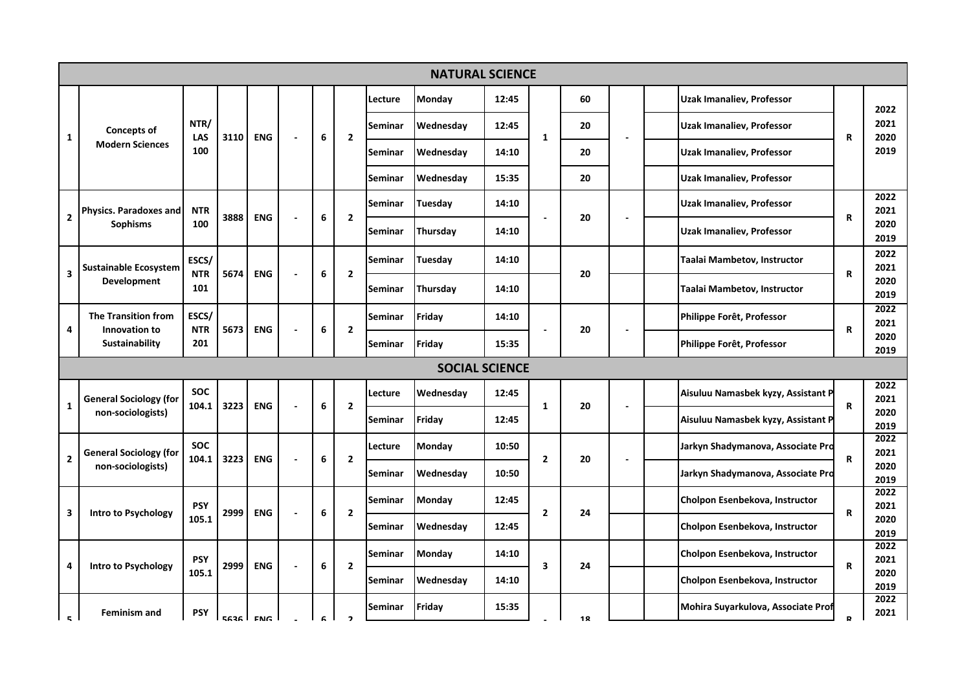|                |                                 |                     |      |            |                |   |                          |         | <b>NATURAL SCIENCE</b> |       |                |    |                                    |             |              |
|----------------|---------------------------------|---------------------|------|------------|----------------|---|--------------------------|---------|------------------------|-------|----------------|----|------------------------------------|-------------|--------------|
|                |                                 |                     |      |            |                |   |                          | Lecture | Monday                 | 12:45 |                | 60 | <b>Uzak Imanaliev, Professor</b>   |             | 2022         |
| 1              | <b>Concepts of</b>              | NTR/<br>LAS         | 3110 | <b>ENG</b> | $\blacksquare$ | 6 | $\overline{2}$           | Seminar | Wednesday              | 12:45 | $\mathbf{1}$   | 20 | Uzak Imanaliev, Professor          | $\mathbf R$ | 2021<br>2020 |
|                | <b>Modern Sciences</b>          | 100                 |      |            |                |   |                          | Seminar | Wednesday              | 14:10 |                | 20 | <b>Uzak Imanaliev, Professor</b>   |             | 2019         |
|                |                                 |                     |      |            |                |   |                          | Seminar | Wednesday              | 15:35 |                | 20 | <b>Uzak Imanaliev, Professor</b>   |             |              |
|                | <b>Physics. Paradoxes and</b>   | <b>NTR</b>          |      |            |                |   |                          | Seminar | Tuesday                | 14:10 |                |    | Uzak Imanaliev, Professor          |             | 2022<br>2021 |
| $\overline{2}$ | <b>Sophisms</b>                 | 100                 | 3888 | <b>ENG</b> |                | 6 | $\overline{2}$           | Seminar | Thursday               | 14:10 |                | 20 | Uzak Imanaliev, Professor          | $\mathbf R$ | 2020<br>2019 |
|                | <b>Sustainable Ecosystem</b>    | ESCS/               |      |            |                |   |                          | Seminar | Tuesdav                | 14:10 |                |    | Taalai Mambetov, Instructor        |             | 2022<br>2021 |
| 3              | <b>Development</b>              | <b>NTR</b><br>101   | 5674 | <b>ENG</b> |                | 6 | $\overline{2}$           | Seminar | Thursday               | 14:10 |                | 20 | Taalai Mambetov, Instructor        | $\mathbf R$ | 2020<br>2019 |
|                | <b>The Transition from</b>      | ESCS/               |      |            |                |   |                          | Seminar | Friday                 | 14:10 |                |    | Philippe Forêt, Professor          |             | 2022<br>2021 |
| 4              | Innovation to<br>Sustainability | <b>NTR</b><br>201   | 5673 | <b>ENG</b> |                | 6 | $\mathbf{2}$             | Seminar | Friday                 | 15:35 |                | 20 | Philippe Forêt, Professor          | $\mathbf R$ | 2020<br>2019 |
|                |                                 |                     |      |            |                |   |                          |         | <b>SOCIAL SCIENCE</b>  |       |                |    |                                    |             |              |
|                | <b>General Sociology (for</b>   | <b>SOC</b>          | 3223 | <b>ENG</b> |                | 6 | $\mathbf{2}$             | Lecture | Wednesday              | 12:45 | 1              | 20 | Aisuluu Namasbek kyzy, Assistant P | R           | 2022<br>2021 |
| 1              | non-sociologists)               | 104.1               |      |            |                |   |                          | Seminar | Friday                 | 12:45 |                |    | Aisuluu Namasbek kyzy, Assistant P |             | 2020<br>2019 |
| 2              | <b>General Sociology (for</b>   | <b>SOC</b><br>104.1 | 3223 | <b>ENG</b> |                | 6 | $\overline{2}$           | Lecture | Monday                 | 10:50 | $\overline{2}$ | 20 | Jarkyn Shadymanova, Associate Pro  | R           | 2022<br>2021 |
|                | non-sociologists)               |                     |      |            |                |   |                          | Seminar | Wednesday              | 10:50 |                |    | Jarkyn Shadymanova, Associate Pro  |             | 2020<br>2019 |
| 3              | Intro to Psychology             | <b>PSY</b>          | 2999 | <b>ENG</b> |                | 6 | $\overline{2}$           | Seminar | Monday                 | 12:45 | $\overline{2}$ | 24 | Cholpon Esenbekova, Instructor     | R           | 2022<br>2021 |
|                |                                 | 105.1               |      |            |                |   |                          | Seminar | Wednesday              | 12:45 |                |    | Cholpon Esenbekova, Instructor     |             | 2020<br>2019 |
| 4              | Intro to Psychology             | <b>PSY</b>          | 2999 | <b>ENG</b> |                | 6 | $\overline{2}$           | Seminar | <b>Monday</b>          | 14:10 | 3              | 24 | Cholpon Esenbekova, Instructor     | R           | 2022<br>2021 |
|                |                                 | 105.1               |      |            |                |   |                          | Seminar | Wednesday              | 14:10 |                |    | Cholpon Esenbekova, Instructor     |             | 2020<br>2019 |
| E.             | <b>Feminism and</b>             | <b>PSY</b>          |      | ERSE LENG  |                |   | $\overline{\phantom{a}}$ | Seminar | Friday                 | 15:35 |                | 12 | Mohira Suyarkulova, Associate Prof | R           | 2022<br>2021 |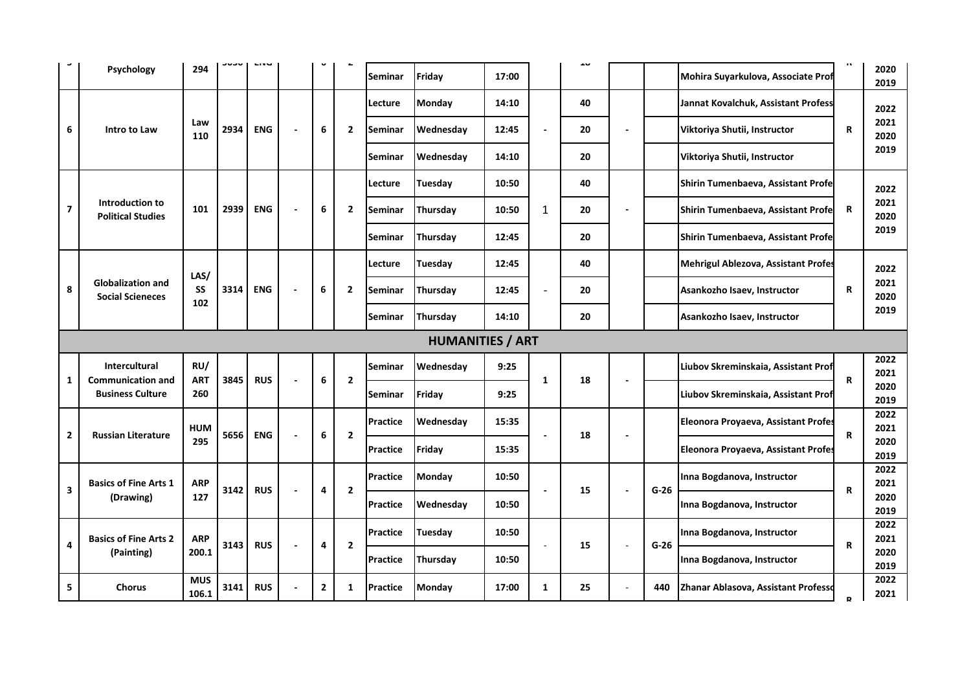| Psychology                                               | 294               |      |            |                          | $\mathbf{v}$   |                         | Seminar         | Friday                  | 17:00 |   | ᆂ  |                          |        | Mohira Suyarkulova, Associate Prof         | $\mathbf{u}$ | 2020<br>2019 |
|----------------------------------------------------------|-------------------|------|------------|--------------------------|----------------|-------------------------|-----------------|-------------------------|-------|---|----|--------------------------|--------|--------------------------------------------|--------------|--------------|
|                                                          |                   |      |            |                          |                |                         | Lecture         | Monday                  | 14:10 |   | 40 |                          |        | Jannat Kovalchuk, Assistant Profess        |              | 2022         |
| 6<br>Intro to Law                                        | Law<br>110        | 2934 | <b>ENG</b> | $\blacksquare$           | 6              | $\overline{\mathbf{2}}$ | Seminar         | Wednesday               | 12:45 |   | 20 |                          |        | Viktoriya Shutii, Instructor               | R            | 2021<br>2020 |
|                                                          |                   |      |            |                          |                |                         | Seminar         | Wednesday               | 14:10 |   | 20 |                          |        | Viktoriya Shutii, Instructor               |              | 2019         |
|                                                          |                   |      |            |                          |                |                         | Lecture         | Tuesday                 | 10:50 |   | 40 |                          |        | Shirin Tumenbaeva, Assistant Profe         |              | 2022         |
| Introduction to<br>7<br><b>Political Studies</b>         | 101               | 2939 | <b>ENG</b> | $\overline{\phantom{a}}$ | 6              | $\overline{2}$          | Seminar         | Thursday                | 10:50 | 1 | 20 |                          |        | Shirin Tumenbaeva, Assistant Profe         | R            | 2021<br>2020 |
|                                                          |                   |      |            |                          |                |                         | Seminar         | Thursday                | 12:45 |   | 20 |                          |        | Shirin Tumenbaeva, Assistant Profe         |              | 2019         |
|                                                          | LAS/              |      |            |                          |                |                         | Lecture         | Tuesday                 | 12:45 |   | 40 |                          |        | <b>Mehrigul Ablezova, Assistant Profes</b> |              | 2022         |
| <b>Globalization and</b><br>8<br><b>Social Scieneces</b> | SS                | 3314 | <b>ENG</b> | $\overline{\phantom{a}}$ | 6              | 2                       | Seminar         | Thursday                | 12:45 |   | 20 |                          |        | Asankozho Isaev, Instructor                | R            | 2021<br>2020 |
|                                                          | 102               |      |            |                          |                |                         | Seminar         | Thursday                | 14:10 |   | 20 |                          |        | Asankozho Isaev, Instructor                |              | 2019         |
|                                                          |                   |      |            |                          |                |                         |                 | <b>HUMANITIES / ART</b> |       |   |    |                          |        |                                            |              |              |
| Intercultural                                            | RU/               |      |            |                          |                |                         | Seminar         | Wednesday               | 9:25  |   |    |                          |        | Liubov Skreminskaia, Assistant Prof        |              | 2022<br>2021 |
| <b>Communication and</b><br>1<br><b>Business Culture</b> | <b>ART</b><br>260 | 3845 | <b>RUS</b> |                          | 6              | $\overline{2}$          | Seminar         | Friday                  | 9:25  | 1 | 18 |                          |        | Liubov Skreminskaia, Assistant Prof        | R            | 2020<br>2019 |
|                                                          | HUM               |      |            |                          |                |                         | Practice        | Wednesday               | 15:35 |   |    |                          |        | Eleonora Proyaeva, Assistant Profes        |              | 2022<br>2021 |
| 2<br><b>Russian Literature</b>                           | 295               | 5656 | <b>ENG</b> |                          | 6              | $\overline{2}$          | <b>Practice</b> | Friday                  | 15:35 |   | 18 | $\overline{\phantom{a}}$ |        | Eleonora Proyaeva, Assistant Profes        | R            | 2020<br>2019 |
| <b>Basics of Fine Arts 1</b>                             | ARP               |      |            |                          |                |                         | Practice        | Monday                  | 10:50 |   |    |                          |        | Inna Bogdanova, Instructor                 |              | 2022<br>2021 |
| 3<br>(Drawing)                                           | 127               | 3142 | <b>RUS</b> |                          | 4              | $\overline{2}$          | Practice        | Wednesday               | 10:50 |   | 15 |                          | $G-26$ | Inna Bogdanova, Instructor                 | R            | 2020<br>2019 |
| <b>Basics of Fine Arts 2</b>                             | <b>ARP</b>        |      |            |                          |                |                         | Practice        | Tuesday                 | 10:50 |   |    |                          |        | Inna Bogdanova, Instructor                 |              | 2022<br>2021 |
| 4<br>(Painting)                                          | 200.1             | 3143 | <b>RUS</b> |                          | 4              | $\overline{2}$          | Practice        | Thursday                | 10:50 |   | 15 |                          | $G-26$ | Inna Bogdanova, Instructor                 | R            | 2020<br>2019 |
|                                                          | <b>MUS</b>        | 3141 | <b>RUS</b> |                          | $\overline{2}$ | 1                       | <b>Practice</b> | Monday                  | 17:00 | 1 | 25 |                          | 440    | Zhanar Ablasova, Assistant Professo        |              | 2022         |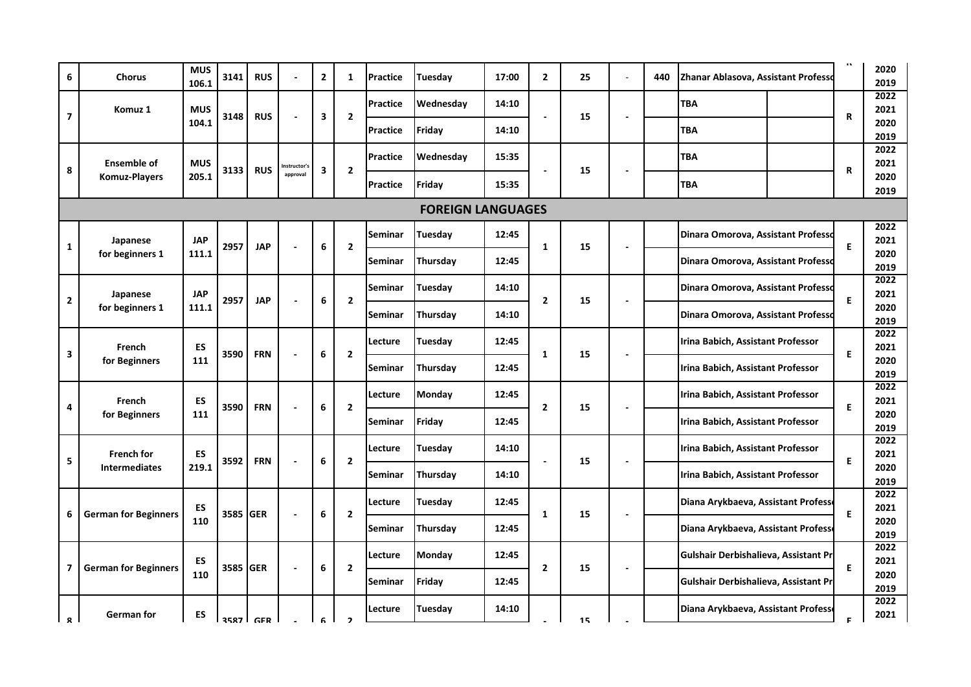| 6                       | <b>Chorus</b>               | <b>MUS</b><br>106.1 | 3141             | <b>RUS</b> |                          | $\mathbf{2}$ | 1                        | <b>Practice</b> | Tuesday                  | 17:00 | $\overline{2}$ | 25 | 440 | Zhanar Ablasova, Assistant Professo  | $\mathbf{u}$ | 2020<br>2019 |
|-------------------------|-----------------------------|---------------------|------------------|------------|--------------------------|--------------|--------------------------|-----------------|--------------------------|-------|----------------|----|-----|--------------------------------------|--------------|--------------|
|                         | Komuz 1                     | <b>MUS</b>          |                  |            |                          |              |                          | <b>Practice</b> | Wednesday                | 14:10 |                |    |     | <b>TBA</b>                           |              | 2022<br>2021 |
| $\overline{\mathbf{z}}$ |                             | 104.1               | 3148             | <b>RUS</b> |                          | 3            | $\mathbf{2}$             | Practice        | Friday                   | 14:10 |                | 15 |     | <b>TBA</b>                           | R            | 2020<br>2019 |
|                         | <b>Ensemble of</b>          | <b>MUS</b>          |                  |            |                          |              |                          | <b>Practice</b> | Wednesday                | 15:35 |                |    |     | <b>TBA</b>                           |              | 2022<br>2021 |
| 8                       | <b>Komuz-Players</b>        | 205.1               | 3133             | <b>RUS</b> | Instructor's<br>approval | 3            | $\mathbf{2}$             | <b>Practice</b> | Friday                   | 15:35 |                | 15 |     | TBA                                  | R            | 2020         |
|                         |                             |                     |                  |            |                          |              |                          |                 | <b>FOREIGN LANGUAGES</b> |       |                |    |     |                                      |              | 2019         |
|                         |                             |                     |                  |            |                          |              |                          |                 |                          |       |                |    |     |                                      |              |              |
|                         | Japanese                    | <b>JAP</b>          | 2957             | <b>JAP</b> |                          | 6            | $\overline{2}$           | Seminar         | Tuesday                  | 12:45 | 1              | 15 |     | Dinara Omorova, Assistant Professo   | E            | 2022<br>2021 |
| 1                       | for beginners 1             | 111.1               |                  |            |                          |              |                          | Seminar         | Thursdav                 | 12:45 |                |    |     | Dinara Omorova, Assistant Professo   |              | 2020<br>2019 |
|                         | Japanese                    | <b>JAP</b>          |                  |            |                          |              |                          | Seminar         | Tuesday                  | 14:10 |                |    |     | Dinara Omorova, Assistant Professo   |              | 2022<br>2021 |
| 2                       | for beginners 1             | 111.1               | 2957             | <b>JAP</b> |                          | 6            | $\mathbf{2}$             | Seminar         | Thursday                 | 14:10 | $\overline{2}$ | 15 |     | Dinara Omorova, Assistant Professo   | E.           | 2020<br>2019 |
|                         |                             |                     |                  |            |                          |              |                          | Lecture         | Tuesdav                  | 12:45 |                |    |     | Irina Babich, Assistant Professor    |              | 2022<br>2021 |
| 3                       | French<br>for Beginners     | ES<br>111           | 3590             | <b>FRN</b> |                          | 6            | $\mathbf{2}$             | Seminar         | Thursday                 | 12:45 | $\mathbf{1}$   | 15 |     | Irina Babich, Assistant Professor    | E.           | 2020         |
|                         |                             |                     |                  |            |                          |              |                          |                 |                          |       |                |    |     |                                      |              | 2019         |
| 4                       | French                      | ES                  | 3590             | <b>FRN</b> |                          | 6            | $\overline{2}$           | Lecture         | Monday                   | 12:45 | $\mathbf{2}$   | 15 |     | Irina Babich, Assistant Professor    | E            | 2022<br>2021 |
|                         | for Beginners               | 111                 |                  |            |                          |              |                          | Seminar         | Friday                   | 12:45 |                |    |     | Irina Babich, Assistant Professor    |              | 2020<br>2019 |
|                         | <b>French for</b>           | ES                  |                  |            |                          |              |                          | Lecture         | Tuesday                  | 14:10 |                |    |     | Irina Babich, Assistant Professor    |              | 2022<br>2021 |
| 5                       | <b>Intermediates</b>        | 219.1               | 3592             | <b>FRN</b> |                          | 6            | $\mathbf{2}$             | <b>Seminar</b>  | Thursday                 | 14:10 |                | 15 |     | Irina Babich, Assistant Professor    | E.           | 2020<br>2019 |
|                         |                             | ES                  |                  |            |                          |              |                          | Lecture         | Tuesday                  | 12:45 |                |    |     | Diana Arykbaeva, Assistant Profess   |              | 2022<br>2021 |
| 6                       | <b>German for Beginners</b> | 110                 | 3585 <b>IGER</b> |            |                          | 6            | $\mathbf{2}$             | Seminar         | Thursday                 | 12:45 | 1              | 15 |     | Diana Arykbaeva, Assistant Profess   | E            | 2020<br>2019 |
|                         |                             | ES                  |                  |            |                          |              |                          | Lecture         | Monday                   | 12:45 |                |    |     | Gulshair Derbishalieva, Assistant Pr |              | 2022<br>2021 |
| 7                       | <b>German for Beginners</b> | 110                 | 3585 GER         |            |                          | 6            | $\overline{2}$           | Seminar         | Friday                   | 12:45 | $\overline{2}$ | 15 |     | Gulshair Derbishalieva, Assistant Pr | E            | 2020<br>2019 |
|                         | German for                  | ES                  |                  |            |                          |              |                          | Lecture         | Tuesday                  | 14:10 |                |    |     | Diana Arykbaeva, Assistant Profess   |              | 2022<br>2021 |
| $\mathbf{Q}$            |                             |                     |                  | סום לפאג   |                          | ĥ.           | $\overline{\phantom{a}}$ |                 |                          |       |                | 15 |     |                                      | F.           |              |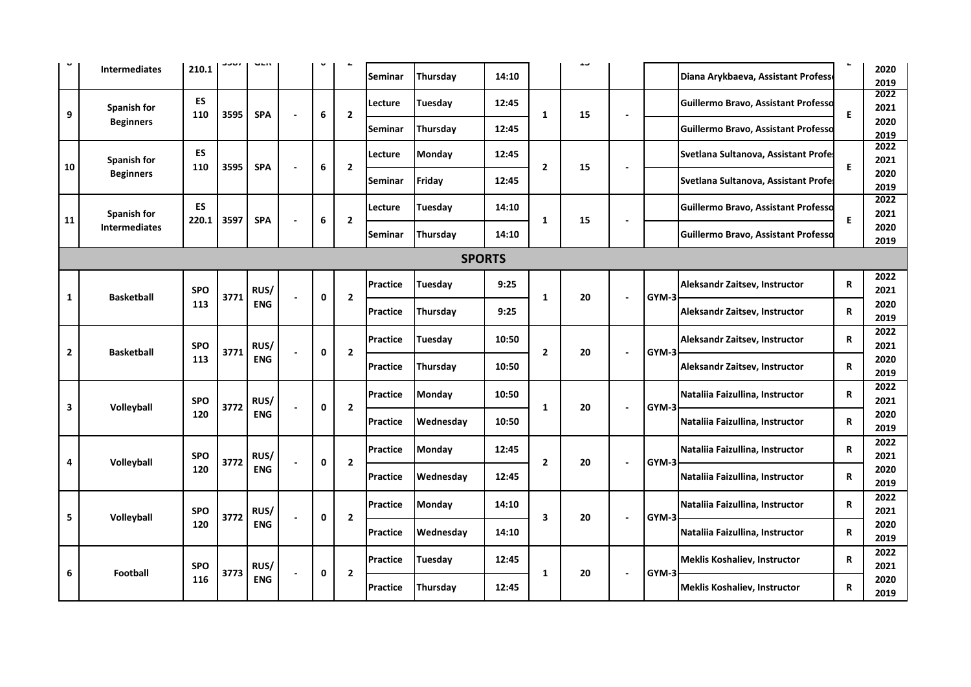|                         | <b>Intermediates</b> | 210.1      |      |            |                |             |                | Seminar         | Thursday       | 14:10         |                | ف بال |                          |       | Diana Arykbaeva, Assistant Profess         | ч | 2020<br>2019 |
|-------------------------|----------------------|------------|------|------------|----------------|-------------|----------------|-----------------|----------------|---------------|----------------|-------|--------------------------|-------|--------------------------------------------|---|--------------|
| 9                       | Spanish for          | ES<br>110  | 3595 | <b>SPA</b> |                | 6           | $\overline{2}$ | Lecture         | Tuesday        | 12:45         | 1              | 15    | $\blacksquare$           |       | Guillermo Bravo, Assistant Professo        | E | 2022<br>2021 |
|                         | <b>Beginners</b>     |            |      |            |                |             |                | <b>Seminar</b>  | Thursday       | 12:45         |                |       |                          |       | Guillermo Bravo, Assistant Professo        |   | 2020<br>2019 |
|                         | <b>Spanish for</b>   | ES<br>110  | 3595 | <b>SPA</b> |                | 6           | $\overline{2}$ | Lecture         | <b>Monday</b>  | 12:45         | $\overline{2}$ | 15    |                          |       | Svetlana Sultanova, Assistant Profe.       | E | 2022<br>2021 |
| 10                      | <b>Beginners</b>     |            |      |            |                |             |                | Seminar         | Friday         | 12:45         |                |       | $\blacksquare$           |       | Svetlana Sultanova, Assistant Profes       |   | 2020<br>2019 |
|                         | Spanish for          | ES         |      |            |                |             |                | Lecture         | Tuesday        | 14:10         |                |       |                          |       | Guillermo Bravo, Assistant Professo        |   | 2022<br>2021 |
| 11                      | <b>Intermediates</b> | 220.1      | 3597 | <b>SPA</b> |                | 6           | $\overline{2}$ | Seminar         | Thursday       | 14:10         | 1              | 15    |                          |       | <b>Guillermo Bravo, Assistant Professo</b> | E | 2020<br>2019 |
|                         |                      |            |      |            |                |             |                |                 |                | <b>SPORTS</b> |                |       |                          |       |                                            |   |              |
|                         |                      | <b>SPO</b> |      | RUS/       |                |             |                | <b>Practice</b> | Tuesday        | 9:25          |                |       |                          |       | Aleksandr Zaitsev, Instructor              | R | 2022<br>2021 |
| 1                       | <b>Basketball</b>    | 113        | 3771 | <b>ENG</b> | $\overline{a}$ | $\mathbf 0$ | $\overline{2}$ | <b>Practice</b> | Thursday       | 9:25          | $\mathbf{1}$   | 20    | $\blacksquare$           | GYM-3 | Aleksandr Zaitsev, Instructor              | R | 2020<br>2019 |
|                         |                      | <b>SPO</b> |      | RUS/       |                |             |                | <b>Practice</b> | <b>Tuesday</b> | 10:50         |                |       |                          |       | Aleksandr Zaitsev, Instructor              | R | 2022<br>2021 |
| $\overline{\mathbf{2}}$ | <b>Basketball</b>    | 113        | 3771 | <b>ENG</b> |                | $\mathbf 0$ | $\overline{2}$ | Practice        | Thursday       | 10:50         | $\overline{2}$ | 20    | $\blacksquare$           | GYM-3 | Aleksandr Zaitsev, Instructor              | R | 2020<br>2019 |
|                         |                      | <b>SPO</b> |      | RUS/       |                |             |                | <b>Practice</b> | <b>Monday</b>  | 10:50         |                |       |                          |       | Nataliia Faizullina, Instructor            | R | 2022<br>2021 |
| 3                       | Volleyball           | 120        | 3772 | <b>ENG</b> |                | $\mathbf 0$ | $\overline{2}$ | Practice        | Wednesday      | 10:50         | 1              | 20    |                          | GYM-3 | Nataliia Faizullina, Instructor            | R | 2020<br>2019 |
|                         |                      | <b>SPO</b> | 3772 | RUS/       |                | $\mathbf 0$ | $\overline{2}$ | Practice        | Monday         | 12:45         | $\overline{2}$ | 20    |                          | GYM-3 | Nataliia Faizullina, Instructor            | R | 2022<br>2021 |
| Δ                       | Volleyball           | 120        |      | <b>ENG</b> |                |             |                | Practice        | Wednesday      | 12:45         |                |       | $\blacksquare$           |       | Nataliia Faizullina, Instructor            | R | 2020<br>2019 |
|                         |                      | <b>SPO</b> | 3772 | RUS/       |                | $\mathbf 0$ | $\overline{2}$ | Practice        | <b>Monday</b>  | 14:10         | 3              | 20    |                          | GYM-3 | Nataliia Faizullina, Instructor            | R | 2022<br>2021 |
| 5                       | Volleyball           | 120        |      | <b>ENG</b> |                |             |                | <b>Practice</b> | Wednesday      | 14:10         |                |       |                          |       | Nataliia Faizullina, Instructor            | R | 2020<br>2019 |
|                         | <b>Football</b>      | <b>SPO</b> | 3773 | RUS/       |                | $\mathbf 0$ | $\overline{2}$ | <b>Practice</b> | <b>Tuesday</b> | 12:45         | 1              | 20    |                          | GYM-3 | Meklis Koshaliev, Instructor               | R | 2022<br>2021 |
| 6                       |                      | 116        |      | <b>ENG</b> |                |             |                | <b>Practice</b> | Thursday       | 12:45         |                |       | $\overline{\phantom{a}}$ |       | <b>Meklis Koshaliev, Instructor</b>        | R | 2020<br>2019 |
|                         |                      |            |      |            |                |             |                |                 |                |               |                |       |                          |       |                                            |   |              |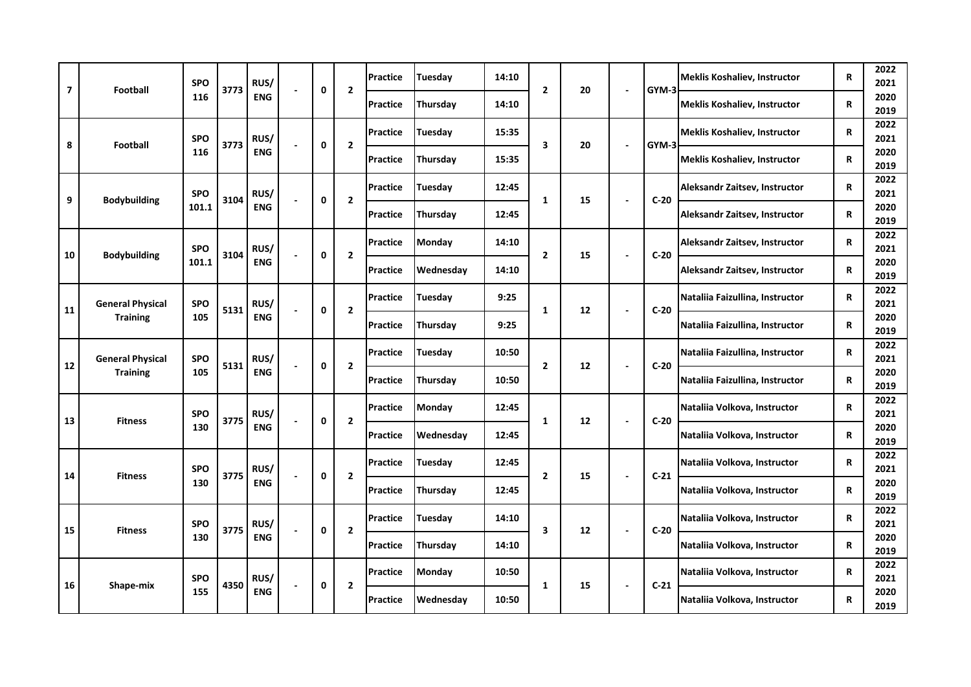| 7  | <b>Football</b>         | <b>SPO</b> | 3773 | RUS/       | 0 | $\overline{2}$ | <b>Practice</b> | Tuesdav       | 14:10 | $\overline{2}$ | 20 | $\blacksquare$ | GYM-3  | <b>Meklis Koshaliev, Instructor</b> | R           | 2022<br>2021 |
|----|-------------------------|------------|------|------------|---|----------------|-----------------|---------------|-------|----------------|----|----------------|--------|-------------------------------------|-------------|--------------|
|    |                         | 116        |      | <b>ENG</b> |   |                | <b>Practice</b> | Thursday      | 14:10 |                |    |                |        | <b>Meklis Koshaliev, Instructor</b> | R           | 2020<br>2019 |
| 8  | <b>Football</b>         | <b>SPO</b> | 3773 | RUS/       | 0 | $\mathbf{2}$   | <b>Practice</b> | Tuesday       | 15:35 | 3              | 20 | ÷,             | GYM-3  | <b>Meklis Koshaliev, Instructor</b> | R           | 2022<br>2021 |
|    |                         | 116        |      | <b>ENG</b> |   |                | <b>Practice</b> | Thursdav      | 15:35 |                |    |                |        | <b>Meklis Koshaliev, Instructor</b> | R           | 2020<br>2019 |
| 9  | <b>Bodybuilding</b>     | <b>SPO</b> | 3104 | RUS/       | 0 | $\overline{2}$ | <b>Practice</b> | Tuesday       | 12:45 | $\mathbf{1}$   | 15 | $\sim$         | $C-20$ | Aleksandr Zaitsev, Instructor       | R           | 2022<br>2021 |
|    |                         | 101.1      |      | <b>ENG</b> |   |                | Practice        | Thursday      | 12:45 |                |    |                |        | Aleksandr Zaitsev, Instructor       | R           | 2020<br>2019 |
| 10 | <b>Bodybuilding</b>     | <b>SPO</b> | 3104 | RUS/       | 0 | $\mathbf{2}$   | <b>Practice</b> | <b>Monday</b> | 14:10 | $\overline{2}$ | 15 | ä,             | $C-20$ | Aleksandr Zaitsev, Instructor       | R           | 2022<br>2021 |
|    |                         | 101.1      |      | <b>ENG</b> |   |                | <b>Practice</b> | Wednesday     | 14:10 |                |    |                |        | Aleksandr Zaitsev, Instructor       | R           | 2020<br>2019 |
| 11 | <b>General Physical</b> | <b>SPO</b> | 5131 | RUS/       | 0 | $\mathbf{2}$   | <b>Practice</b> | Tuesday       | 9:25  | 1              | 12 | $\sim$         | $C-20$ | Nataliia Faizullina, Instructor     | R           | 2022<br>2021 |
|    | <b>Training</b>         | 105        |      | <b>ENG</b> |   |                | Practice        | Thursday      | 9:25  |                |    |                |        | Nataliia Faizullina, Instructor     | R           | 2020<br>2019 |
| 12 | <b>General Physical</b> | <b>SPO</b> | 5131 | RUS/       | 0 | $\overline{2}$ | <b>Practice</b> | Tuesday       | 10:50 | $\overline{2}$ | 12 | ÷,             | $C-20$ | Nataliia Faizullina, Instructor     | R           | 2022<br>2021 |
|    | <b>Training</b>         | 105        |      | <b>ENG</b> |   |                | <b>Practice</b> | Thursday      | 10:50 |                |    |                |        | Nataliia Faizullina, Instructor     | $\mathbf R$ | 2020<br>2019 |
| 13 | <b>Fitness</b>          | <b>SPO</b> | 3775 | RUS/       | 0 | $\overline{2}$ | <b>Practice</b> | <b>Monday</b> | 12:45 | $\mathbf{1}$   | 12 | ÷,             | $C-20$ | Nataliia Volkova, Instructor        | R           | 2022<br>2021 |
|    |                         | 130        |      | <b>ENG</b> |   |                | <b>Practice</b> | Wednesday     | 12:45 |                |    |                |        | Nataliia Volkova, Instructor        | R           | 2020<br>2019 |
| 14 | <b>Fitness</b>          | <b>SPO</b> | 3775 | RUS/       | 0 | $\mathbf{2}$   | Practice        | Tuesday       | 12:45 | $\mathbf{2}$   | 15 | ÷,             | $C-21$ | Nataliia Volkova, Instructor        | R           | 2022<br>2021 |
|    |                         | 130        |      | <b>ENG</b> |   |                | <b>Practice</b> | Thursday      | 12:45 |                |    |                |        | Nataliia Volkova, Instructor        | R           | 2020<br>2019 |
| 15 | <b>Fitness</b>          | <b>SPO</b> | 3775 | RUS/       | 0 | $\overline{2}$ | <b>Practice</b> | Tuesday       | 14:10 | 3              | 12 | $\blacksquare$ | $C-20$ | Nataliia Volkova, Instructor        | R           | 2022<br>2021 |
|    |                         | 130        |      | <b>ENG</b> |   |                | <b>Practice</b> | Thursday      | 14:10 |                |    |                |        | Nataliia Volkova, Instructor        | R           | 2020<br>2019 |
| 16 | Shape-mix               | <b>SPO</b> | 4350 | RUS/       | 0 | $\mathbf{2}$   | <b>Practice</b> | Monday        | 10:50 | $\mathbf{1}$   | 15 | $\sim$         | $C-21$ | Nataliia Volkova, Instructor        | R           | 2022<br>2021 |
|    |                         | 155        |      | <b>ENG</b> |   |                | Practice        | Wednesday     | 10:50 |                |    |                |        | Nataliia Volkova, Instructor        | R           | 2020<br>2019 |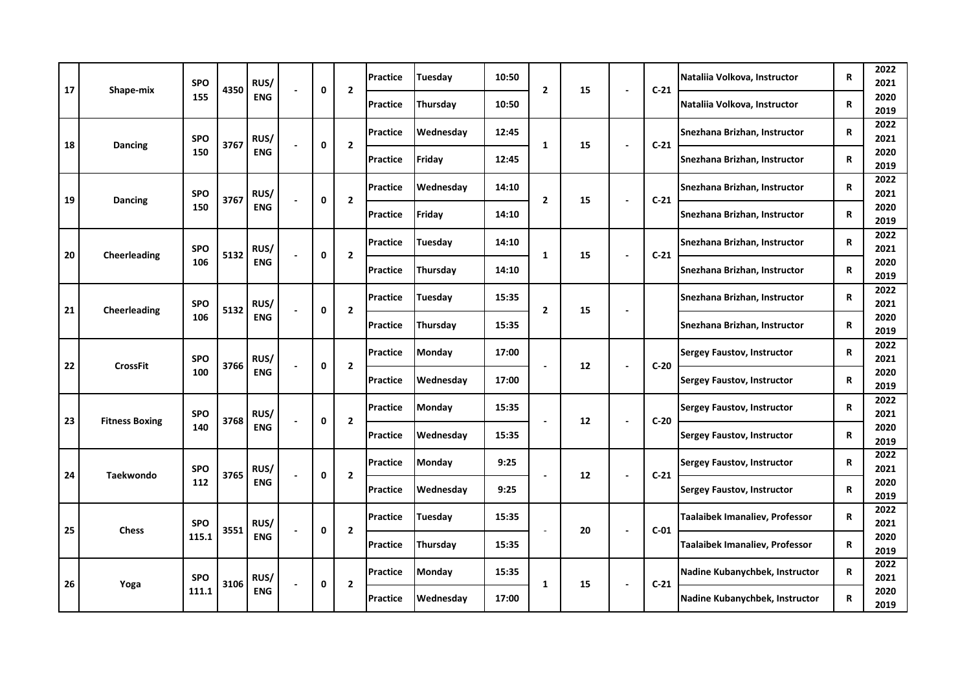| 17 | Shape-mix             | <b>SPO</b> | 4350 | RUS/       | $\mathbf 0$ | $\overline{2}$ | Practice        | Tuesday       | 10:50 | $\overline{2}$ | 15 | $\blacksquare$           | $C-21$ | Nataliia Volkova, Instructor      | R           | 2022<br>2021 |
|----|-----------------------|------------|------|------------|-------------|----------------|-----------------|---------------|-------|----------------|----|--------------------------|--------|-----------------------------------|-------------|--------------|
|    |                       | 155        |      | <b>ENG</b> |             |                | Practice        | Thursday      | 10:50 |                |    |                          |        | Nataliia Volkova, Instructor      | R           | 2020<br>2019 |
| 18 | Dancing               | <b>SPO</b> | 3767 | RUS/       | $\mathbf 0$ | $\overline{2}$ | Practice        | Wednesday     | 12:45 | $\mathbf{1}$   | 15 | $\blacksquare$           | $C-21$ | Snezhana Brizhan, Instructor      | R           | 2022<br>2021 |
|    |                       | 150        |      | <b>ENG</b> |             |                | <b>Practice</b> | Friday        | 12:45 |                |    |                          |        | Snezhana Brizhan, Instructor      | $\mathbf R$ | 2020<br>2019 |
| 19 | <b>Dancing</b>        | <b>SPO</b> | 3767 | RUS/       | 0           | $\overline{2}$ | Practice        | Wednesday     | 14:10 | $\overline{2}$ | 15 | ÷,                       | $C-21$ | Snezhana Brizhan, Instructor      | R           | 2022<br>2021 |
|    |                       | 150        |      | ENG        |             |                | Practice        | Friday        | 14:10 |                |    |                          |        | Snezhana Brizhan, Instructor      | R           | 2020<br>2019 |
| 20 | Cheerleading          | <b>SPO</b> | 5132 | RUS/       | 0           | $\mathbf{2}$   | Practice        | Tuesdav       | 14:10 | 1              | 15 | ÷,                       | $C-21$ | Snezhana Brizhan, Instructor      | R           | 2022<br>2021 |
|    |                       | 106        |      | <b>ENG</b> |             |                | <b>Practice</b> | Thursday      | 14:10 |                |    |                          |        | Snezhana Brizhan, Instructor      | R           | 2020<br>2019 |
| 21 | Cheerleading          | <b>SPO</b> | 5132 | RUS/       | 0           | $\mathbf{2}$   | Practice        | Tuesday       | 15:35 | $\mathbf{2}$   | 15 | $\overline{\phantom{a}}$ |        | Snezhana Brizhan, Instructor      | R           | 2022<br>2021 |
|    |                       | 106        |      | <b>ENG</b> |             |                | Practice        | Thursday      | 15:35 |                |    |                          |        | Snezhana Brizhan, Instructor      | R           | 2020<br>2019 |
| 22 | <b>CrossFit</b>       | <b>SPO</b> | 3766 | RUS/       | 0           | $\mathbf{2}$   | Practice        | Monday        | 17:00 |                | 12 | $\overline{\phantom{a}}$ | $C-20$ | <b>Sergey Faustov, Instructor</b> | R           | 2022<br>2021 |
|    |                       | 100        |      | <b>ENG</b> |             |                | Practice        | Wednesday     | 17:00 |                |    |                          |        | <b>Sergey Faustov, Instructor</b> | R           | 2020<br>2019 |
| 23 | <b>Fitness Boxing</b> | <b>SPO</b> | 3768 | RUS/       | $\mathbf 0$ | $\overline{2}$ | Practice        | <b>Monday</b> | 15:35 |                | 12 | $\blacksquare$           | $C-20$ | <b>Sergey Faustov, Instructor</b> | R           | 2022<br>2021 |
|    |                       | 140        |      | <b>ENG</b> |             |                | Practice        | Wednesday     | 15:35 |                |    |                          |        | <b>Sergey Faustov, Instructor</b> | R           | 2020<br>2019 |
| 24 | <b>Taekwondo</b>      | <b>SPO</b> | 3765 | RUS/       | $\mathbf 0$ | $\overline{2}$ | <b>Practice</b> | Monday        | 9:25  |                | 12 | $\blacksquare$           | $C-21$ | <b>Sergey Faustov, Instructor</b> | R           | 2022<br>2021 |
|    |                       | 112        |      | <b>ENG</b> |             |                | <b>Practice</b> | Wednesday     | 9:25  |                |    |                          |        | <b>Sergey Faustov, Instructor</b> | R           | 2020<br>2019 |
| 25 | <b>Chess</b>          | <b>SPO</b> | 3551 | RUS/       | $\mathbf 0$ | $\overline{2}$ | Practice        | Tuesday       | 15:35 |                | 20 | ÷,                       | $C-01$ | Taalaibek Imanaliev, Professor    | R           | 2022<br>2021 |
|    |                       | 115.1      |      | <b>ENG</b> |             |                | Practice        | Thursday      | 15:35 |                |    |                          |        | Taalaibek Imanaliev, Professor    | R           | 2020<br>2019 |
| 26 | Yoga                  | <b>SPO</b> | 3106 | RUS/       | 0           | $\overline{2}$ | Practice        | Monday        | 15:35 | $\mathbf{1}$   | 15 | $\overline{\phantom{a}}$ | $C-21$ | Nadine Kubanychbek, Instructor    | R           | 2022<br>2021 |
|    |                       | 111.1      |      | ENG        |             |                | Practice        | Wednesday     | 17:00 |                |    |                          |        | Nadine Kubanychbek, Instructor    | $\mathbf R$ | 2020<br>2019 |